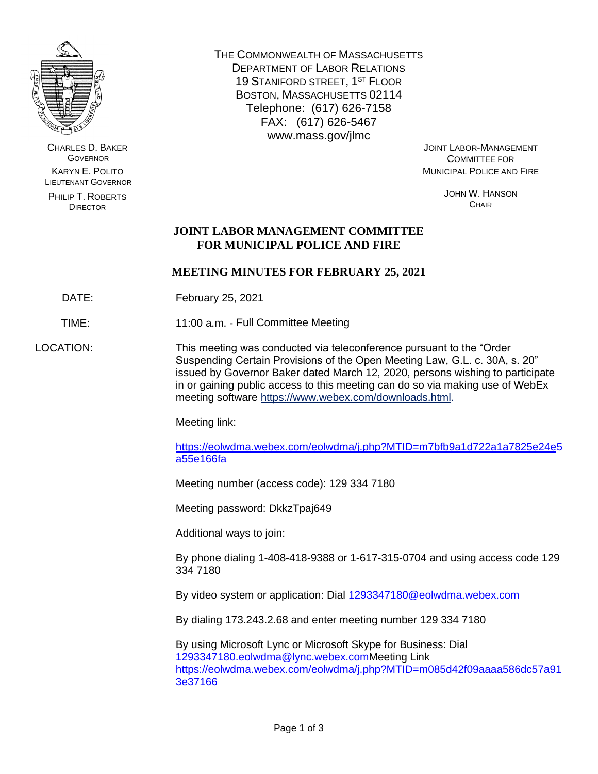

CHARLES D. BAKER **GOVERNOR** KARYN E. POLITO LIEUTENANT GOVERNOR

PHILIP T. ROBERTS DIRECTOR

THE COMMONWEALTH OF MASSACHUSETTS DEPARTMENT OF LABOR RELATIONS 19 STANIFORD STREET, 1<sup>ST</sup> FLOOR BOSTON, MASSACHUSETTS 02114 Telephone: (617) 626-7158 FAX: (617) 626-5467 www.mass.gov/jlmc

JOINT LABOR-MANAGEMENT COMMITTEE FOR MUNICIPAL POLICE AND FIRE

> JOHN W. HANSON **CHAIR**

# **JOINT LABOR MANAGEMENT COMMITTEE FOR MUNICIPAL POLICE AND FIRE**

# **MEETING MINUTES FOR FEBRUARY 25, 2021**

DATE: February 25, 2021

TIME: 11:00 a.m. - Full Committee Meeting

LOCATION: This meeting was conducted via teleconference pursuant to the "Order Suspending Certain Provisions of the Open Meeting Law, G.L. c. 30A, s. 20" issued by Governor Baker dated March 12, 2020, persons wishing to participate in or gaining public access to this meeting can do so via making use of WebEx meeting software [https://www.webex.com/downloads.html.](https://www.webex.com/downloads.html)

Meeting link:

[https://eolwdma.webex.com/eolwdma/j.php?MTID=m7bfb9a1d722a1a7825e24e5](https://eolwdma.webex.com/eolwdma/j.php?MTID=m7bfb9a1d722a1a7825e24e) a55e166fa

Meeting number (access code): 129 334 7180

Meeting password: DkkzTpaj649

Additional ways to join:

By phone dialing 1-408-418-9388 or 1-617-315-0704 and using access code 129 334 7180

By video system or application: Dial 1293347180@eolwdma.webex.com

By dialing 173.243.2.68 and enter meeting number 129 334 7180

By using Microsoft Lync or Microsoft Skype for Business: Dial 1293347180.eolwdma@lync.webex.comMeeting Link https://eolwdma.webex.com/eolwdma/j.php?MTID=m085d42f09aaaa586dc57a91 3e37166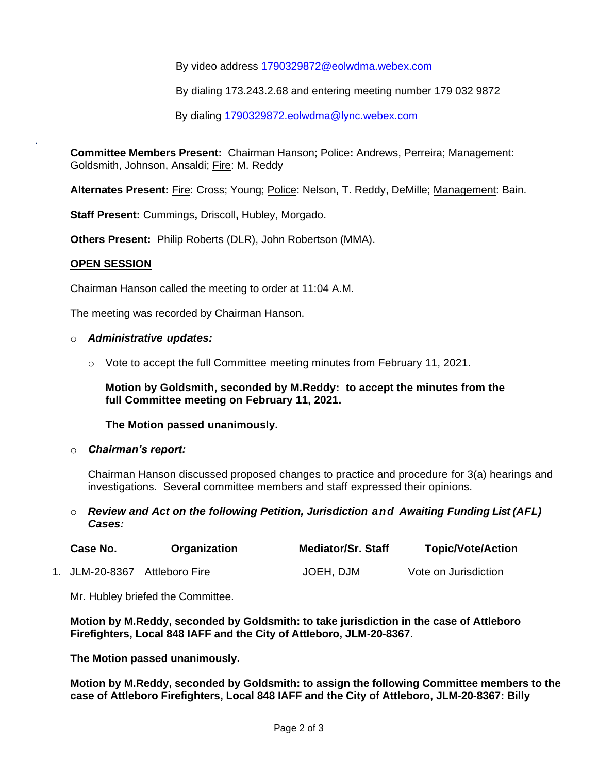By video address 1790329872@eolwdma.webex.com

By dialing 173.243.2.68 and entering meeting number 179 032 9872

By dialing 1790329872.eolwdma@lync.webex.com

**Committee Members Present:** Chairman Hanson; Police**:** Andrews, Perreira; Management: Goldsmith, Johnson, Ansaldi; Fire: M. Reddy

**Alternates Present:** Fire: Cross; Young; Police: Nelson, T. Reddy, DeMille; Management: Bain.

**Staff Present:** Cummings**,** Driscoll**,** Hubley, Morgado.

**Others Present:** Philip Roberts (DLR), John Robertson (MMA).

#### **OPEN SESSION**

.

Chairman Hanson called the meeting to order at 11:04 A.M.

The meeting was recorded by Chairman Hanson.

#### o *Administrative updates:*

 $\circ$  Vote to accept the full Committee meeting minutes from February 11, 2021.

**Motion by Goldsmith, seconded by M.Reddy: to accept the minutes from the full Committee meeting on February 11, 2021.**

**The Motion passed unanimously.**

o *Chairman's report:*

Chairman Hanson discussed proposed changes to practice and procedure for 3(a) hearings and investigations. Several committee members and staff expressed their opinions.

#### o *Review and Act on the following Petition, Jurisdiction and Awaiting Funding List (AFL) Cases:*

| Case No.       | Organization   | <b>Mediator/Sr. Staff</b> | <b>Topic/Vote/Action</b> |
|----------------|----------------|---------------------------|--------------------------|
| 1. JLM-20-8367 | Attleboro Fire | JOEH, DJM                 | Vote on Jurisdiction     |

Mr. Hubley briefed the Committee.

**Motion by M.Reddy, seconded by Goldsmith: to take jurisdiction in the case of Attleboro Firefighters, Local 848 IAFF and the City of Attleboro, JLM-20-8367**.

**The Motion passed unanimously.**

**Motion by M.Reddy, seconded by Goldsmith: to assign the following Committee members to the case of Attleboro Firefighters, Local 848 IAFF and the City of Attleboro, JLM-20-8367: Billy**